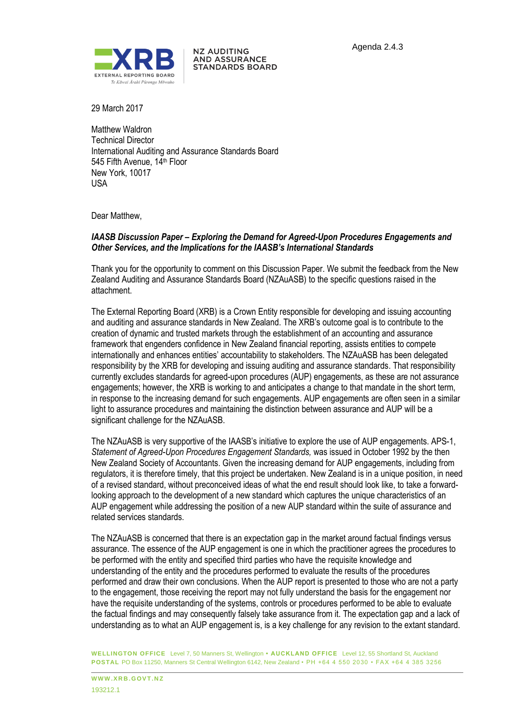

**NZ AUDITING AND ASSURANCE STANDARDS BOARD** 

29 March 2017

Matthew Waldron Technical Director International Auditing and Assurance Standards Board 545 Fifth Avenue, 14<sup>th</sup> Floor New York, 10017 USA

Dear Matthew,

## *IAASB Discussion Paper – Exploring the Demand for Agreed-Upon Procedures Engagements and Other Services, and the Implications for the IAASB's International Standards*

Thank you for the opportunity to comment on this Discussion Paper. We submit the feedback from the New Zealand Auditing and Assurance Standards Board (NZAuASB) to the specific questions raised in the attachment.

The External Reporting Board (XRB) is a Crown Entity responsible for developing and issuing accounting and auditing and assurance standards in New Zealand. The XRB's outcome goal is to contribute to the creation of dynamic and trusted markets through the establishment of an accounting and assurance framework that engenders confidence in New Zealand financial reporting, assists entities to compete internationally and enhances entities' accountability to stakeholders. The NZAuASB has been delegated responsibility by the XRB for developing and issuing auditing and assurance standards. That responsibility currently excludes standards for agreed-upon procedures (AUP) engagements, as these are not assurance engagements; however, the XRB is working to and anticipates a change to that mandate in the short term, in response to the increasing demand for such engagements. AUP engagements are often seen in a similar light to assurance procedures and maintaining the distinction between assurance and AUP will be a significant challenge for the NZAuASB.

The NZAuASB is very supportive of the IAASB's initiative to explore the use of AUP engagements. APS-1, *Statement of Agreed-Upon Procedures Engagement Standards,* was issued in October 1992 by the then New Zealand Society of Accountants. Given the increasing demand for AUP engagements, including from regulators, it is therefore timely, that this project be undertaken. New Zealand is in a unique position, in need of a revised standard, without preconceived ideas of what the end result should look like, to take a forwardlooking approach to the development of a new standard which captures the unique characteristics of an AUP engagement while addressing the position of a new AUP standard within the suite of assurance and related services standards.

The NZAuASB is concerned that there is an expectation gap in the market around factual findings versus assurance. The essence of the AUP engagement is one in which the practitioner agrees the procedures to be performed with the entity and specified third parties who have the requisite knowledge and understanding of the entity and the procedures performed to evaluate the results of the procedures performed and draw their own conclusions. When the AUP report is presented to those who are not a party to the engagement, those receiving the report may not fully understand the basis for the engagement nor have the requisite understanding of the systems, controls or procedures performed to be able to evaluate the factual findings and may consequently falsely take assurance from it. The expectation gap and a lack of understanding as to what an AUP engagement is, is a key challenge for any revision to the extant standard.

**WELLINGTON OFFICE** Level 7, 50 Manners St, Wellington **• AUCKLAND OFFICE** Level 12, 55 Shortland St, Auckland **POSTAL** PO Box 11250, Manners St Central Wellington 6142, New Zealand • PH +64 4 550 2030 • FAX +64 4 385 3256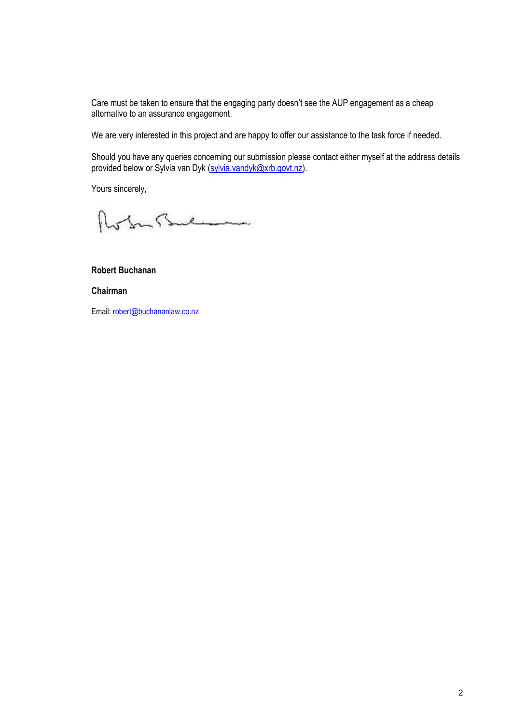Care must be taken to ensure that the engaging party doesn't see the AUP engagement as a cheap alternative to an assurance engagement.

We are very interested in this project and are happy to offer our assistance to the task force if needed.

Should you have any queries concerning our submission please contact either myself at the address details provided below or Sylvia van Dyk (sylvia.vandyk@xrb.govt.nz).

Yours sincerely,

Robert Bulman

**Robert Buchanan**

**Chairman**

Email: robert@buchananlaw.co.nz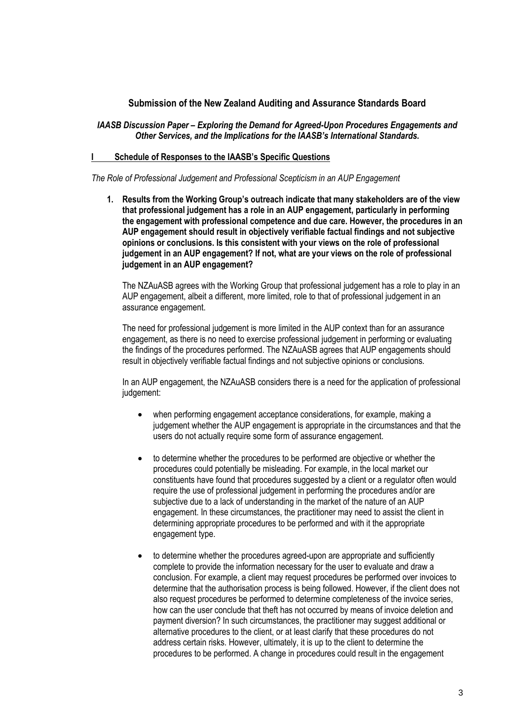# **Submission of the New Zealand Auditing and Assurance Standards Board**

## *IAASB Discussion Paper – Exploring the Demand for Agreed-Upon Procedures Engagements and Other Services, and the Implications for the IAASB's International Standards.*

## **I Schedule of Responses to the IAASB's Specific Questions**

*The Role of Professional Judgement and Professional Scepticism in an AUP Engagement* 

**1. Results from the Working Group's outreach indicate that many stakeholders are of the view that professional judgement has a role in an AUP engagement, particularly in performing the engagement with professional competence and due care. However, the procedures in an AUP engagement should result in objectively verifiable factual findings and not subjective opinions or conclusions. Is this consistent with your views on the role of professional judgement in an AUP engagement? If not, what are your views on the role of professional judgement in an AUP engagement?**

The NZAuASB agrees with the Working Group that professional judgement has a role to play in an AUP engagement, albeit a different, more limited, role to that of professional judgement in an assurance engagement.

The need for professional judgement is more limited in the AUP context than for an assurance engagement, as there is no need to exercise professional judgement in performing or evaluating the findings of the procedures performed. The NZAuASB agrees that AUP engagements should result in objectively verifiable factual findings and not subjective opinions or conclusions.

In an AUP engagement, the NZAuASB considers there is a need for the application of professional judgement:

- when performing engagement acceptance considerations, for example, making a judgement whether the AUP engagement is appropriate in the circumstances and that the users do not actually require some form of assurance engagement.
- to determine whether the procedures to be performed are objective or whether the procedures could potentially be misleading. For example, in the local market our constituents have found that procedures suggested by a client or a regulator often would require the use of professional judgement in performing the procedures and/or are subjective due to a lack of understanding in the market of the nature of an AUP engagement. In these circumstances, the practitioner may need to assist the client in determining appropriate procedures to be performed and with it the appropriate engagement type.
- to determine whether the procedures agreed-upon are appropriate and sufficiently complete to provide the information necessary for the user to evaluate and draw a conclusion. For example, a client may request procedures be performed over invoices to determine that the authorisation process is being followed. However, if the client does not also request procedures be performed to determine completeness of the invoice series, how can the user conclude that theft has not occurred by means of invoice deletion and payment diversion? In such circumstances, the practitioner may suggest additional or alternative procedures to the client, or at least clarify that these procedures do not address certain risks. However, ultimately, it is up to the client to determine the procedures to be performed. A change in procedures could result in the engagement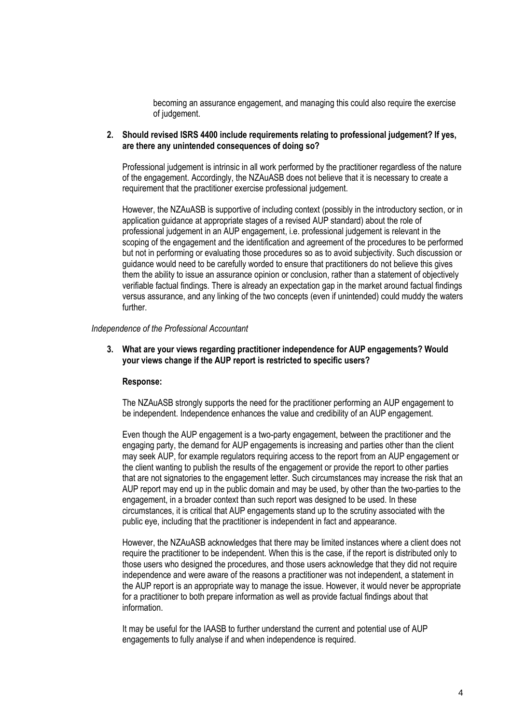becoming an assurance engagement, and managing this could also require the exercise of judgement.

## **2. Should revised ISRS 4400 include requirements relating to professional judgement? If yes, are there any unintended consequences of doing so?**

Professional judgement is intrinsic in all work performed by the practitioner regardless of the nature of the engagement. Accordingly, the NZAuASB does not believe that it is necessary to create a requirement that the practitioner exercise professional judgement.

However, the NZAuASB is supportive of including context (possibly in the introductory section, or in application guidance at appropriate stages of a revised AUP standard) about the role of professional judgement in an AUP engagement, i.e. professional judgement is relevant in the scoping of the engagement and the identification and agreement of the procedures to be performed but not in performing or evaluating those procedures so as to avoid subjectivity. Such discussion or guidance would need to be carefully worded to ensure that practitioners do not believe this gives them the ability to issue an assurance opinion or conclusion, rather than a statement of objectively verifiable factual findings. There is already an expectation gap in the market around factual findings versus assurance, and any linking of the two concepts (even if unintended) could muddy the waters further.

#### *Independence of the Professional Accountant*

**3. What are your views regarding practitioner independence for AUP engagements? Would your views change if the AUP report is restricted to specific users?**

## **Response:**

The NZAuASB strongly supports the need for the practitioner performing an AUP engagement to be independent. Independence enhances the value and credibility of an AUP engagement.

Even though the AUP engagement is a two-party engagement, between the practitioner and the engaging party, the demand for AUP engagements is increasing and parties other than the client may seek AUP, for example regulators requiring access to the report from an AUP engagement or the client wanting to publish the results of the engagement or provide the report to other parties that are not signatories to the engagement letter. Such circumstances may increase the risk that an AUP report may end up in the public domain and may be used, by other than the two-parties to the engagement, in a broader context than such report was designed to be used. In these circumstances, it is critical that AUP engagements stand up to the scrutiny associated with the public eye, including that the practitioner is independent in fact and appearance.

However, the NZAuASB acknowledges that there may be limited instances where a client does not require the practitioner to be independent. When this is the case, if the report is distributed only to those users who designed the procedures, and those users acknowledge that they did not require independence and were aware of the reasons a practitioner was not independent, a statement in the AUP report is an appropriate way to manage the issue. However, it would never be appropriate for a practitioner to both prepare information as well as provide factual findings about that information.

It may be useful for the IAASB to further understand the current and potential use of AUP engagements to fully analyse if and when independence is required.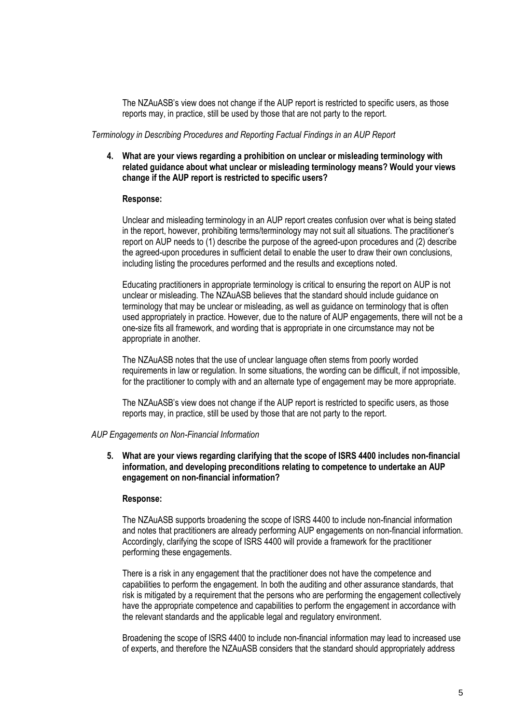The NZAuASB's view does not change if the AUP report is restricted to specific users, as those reports may, in practice, still be used by those that are not party to the report.

*Terminology in Describing Procedures and Reporting Factual Findings in an AUP Report* 

**4. What are your views regarding a prohibition on unclear or misleading terminology with related guidance about what unclear or misleading terminology means? Would your views change if the AUP report is restricted to specific users?**

## **Response:**

Unclear and misleading terminology in an AUP report creates confusion over what is being stated in the report, however, prohibiting terms/terminology may not suit all situations. The practitioner's report on AUP needs to (1) describe the purpose of the agreed-upon procedures and (2) describe the agreed-upon procedures in sufficient detail to enable the user to draw their own conclusions, including listing the procedures performed and the results and exceptions noted.

Educating practitioners in appropriate terminology is critical to ensuring the report on AUP is not unclear or misleading. The NZAuASB believes that the standard should include guidance on terminology that may be unclear or misleading, as well as guidance on terminology that is often used appropriately in practice. However, due to the nature of AUP engagements, there will not be a one-size fits all framework, and wording that is appropriate in one circumstance may not be appropriate in another.

The NZAuASB notes that the use of unclear language often stems from poorly worded requirements in law or regulation. In some situations, the wording can be difficult, if not impossible, for the practitioner to comply with and an alternate type of engagement may be more appropriate.

The NZAuASB's view does not change if the AUP report is restricted to specific users, as those reports may, in practice, still be used by those that are not party to the report.

## *AUP Engagements on Non-Financial Information*

**5. What are your views regarding clarifying that the scope of ISRS 4400 includes non-financial information, and developing preconditions relating to competence to undertake an AUP engagement on non-financial information?**

## **Response:**

The NZAuASB supports broadening the scope of ISRS 4400 to include non-financial information and notes that practitioners are already performing AUP engagements on non-financial information. Accordingly, clarifying the scope of ISRS 4400 will provide a framework for the practitioner performing these engagements.

There is a risk in any engagement that the practitioner does not have the competence and capabilities to perform the engagement. In both the auditing and other assurance standards, that risk is mitigated by a requirement that the persons who are performing the engagement collectively have the appropriate competence and capabilities to perform the engagement in accordance with the relevant standards and the applicable legal and regulatory environment.

Broadening the scope of ISRS 4400 to include non-financial information may lead to increased use of experts, and therefore the NZAuASB considers that the standard should appropriately address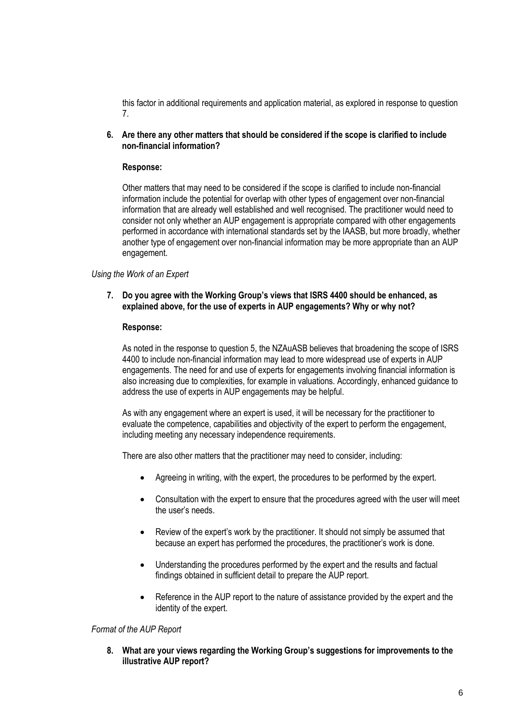this factor in additional requirements and application material, as explored in response to question 7.

**6. Are there any other matters that should be considered if the scope is clarified to include non-financial information?**

## **Response:**

Other matters that may need to be considered if the scope is clarified to include non-financial information include the potential for overlap with other types of engagement over non-financial information that are already well established and well recognised. The practitioner would need to consider not only whether an AUP engagement is appropriate compared with other engagements performed in accordance with international standards set by the IAASB, but more broadly, whether another type of engagement over non-financial information may be more appropriate than an AUP engagement.

## *Using the Work of an Expert*

## **7. Do you agree with the Working Group's views that ISRS 4400 should be enhanced, as explained above, for the use of experts in AUP engagements? Why or why not?**

## **Response:**

As noted in the response to question 5, the NZAuASB believes that broadening the scope of ISRS 4400 to include non-financial information may lead to more widespread use of experts in AUP engagements. The need for and use of experts for engagements involving financial information is also increasing due to complexities, for example in valuations. Accordingly, enhanced guidance to address the use of experts in AUP engagements may be helpful.

As with any engagement where an expert is used, it will be necessary for the practitioner to evaluate the competence, capabilities and objectivity of the expert to perform the engagement, including meeting any necessary independence requirements.

There are also other matters that the practitioner may need to consider, including:

- Agreeing in writing, with the expert, the procedures to be performed by the expert.
- Consultation with the expert to ensure that the procedures agreed with the user will meet the user's needs.
- Review of the expert's work by the practitioner. It should not simply be assumed that because an expert has performed the procedures, the practitioner's work is done.
- Understanding the procedures performed by the expert and the results and factual findings obtained in sufficient detail to prepare the AUP report.
- Reference in the AUP report to the nature of assistance provided by the expert and the identity of the expert.

## *Format of the AUP Report*

**8. What are your views regarding the Working Group's suggestions for improvements to the illustrative AUP report?**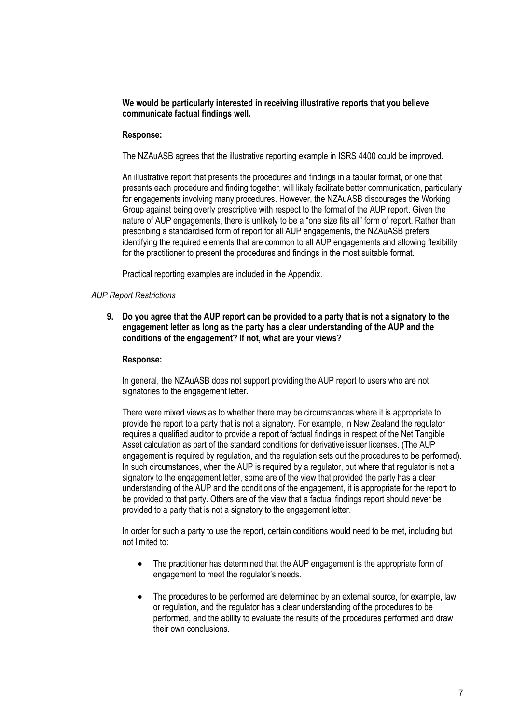## **We would be particularly interested in receiving illustrative reports that you believe communicate factual findings well.**

## **Response:**

The NZAuASB agrees that the illustrative reporting example in ISRS 4400 could be improved.

An illustrative report that presents the procedures and findings in a tabular format, or one that presents each procedure and finding together, will likely facilitate better communication, particularly for engagements involving many procedures. However, the NZAuASB discourages the Working Group against being overly prescriptive with respect to the format of the AUP report. Given the nature of AUP engagements, there is unlikely to be a "one size fits all" form of report. Rather than prescribing a standardised form of report for all AUP engagements, the NZAuASB prefers identifying the required elements that are common to all AUP engagements and allowing flexibility for the practitioner to present the procedures and findings in the most suitable format.

Practical reporting examples are included in the Appendix.

## *AUP Report Restrictions*

**9. Do you agree that the AUP report can be provided to a party that is not a signatory to the engagement letter as long as the party has a clear understanding of the AUP and the conditions of the engagement? If not, what are your views?**

### **Response:**

In general, the NZAuASB does not support providing the AUP report to users who are not signatories to the engagement letter.

There were mixed views as to whether there may be circumstances where it is appropriate to provide the report to a party that is not a signatory. For example, in New Zealand the regulator requires a qualified auditor to provide a report of factual findings in respect of the Net Tangible Asset calculation as part of the standard conditions for derivative issuer licenses. (The AUP engagement is required by regulation, and the regulation sets out the procedures to be performed). In such circumstances, when the AUP is required by a requiator, but where that requiator is not a signatory to the engagement letter, some are of the view that provided the party has a clear understanding of the AUP and the conditions of the engagement, it is appropriate for the report to be provided to that party. Others are of the view that a factual findings report should never be provided to a party that is not a signatory to the engagement letter.

In order for such a party to use the report, certain conditions would need to be met, including but not limited to:

- The practitioner has determined that the AUP engagement is the appropriate form of engagement to meet the regulator's needs.
- The procedures to be performed are determined by an external source, for example, law or regulation, and the regulator has a clear understanding of the procedures to be performed, and the ability to evaluate the results of the procedures performed and draw their own conclusions.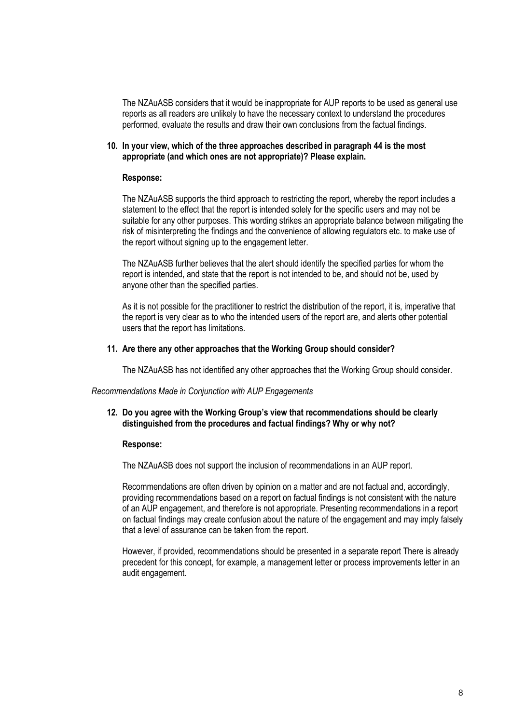The NZAuASB considers that it would be inappropriate for AUP reports to be used as general use reports as all readers are unlikely to have the necessary context to understand the procedures performed, evaluate the results and draw their own conclusions from the factual findings.

## **10. In your view, which of the three approaches described in paragraph 44 is the most appropriate (and which ones are not appropriate)? Please explain.**

#### **Response:**

The NZAuASB supports the third approach to restricting the report, whereby the report includes a statement to the effect that the report is intended solely for the specific users and may not be suitable for any other purposes. This wording strikes an appropriate balance between mitigating the risk of misinterpreting the findings and the convenience of allowing regulators etc. to make use of the report without signing up to the engagement letter.

The NZAuASB further believes that the alert should identify the specified parties for whom the report is intended, and state that the report is not intended to be, and should not be, used by anyone other than the specified parties.

As it is not possible for the practitioner to restrict the distribution of the report, it is, imperative that the report is very clear as to who the intended users of the report are, and alerts other potential users that the report has limitations.

#### **11. Are there any other approaches that the Working Group should consider?**

The NZAuASB has not identified any other approaches that the Working Group should consider.

*Recommendations Made in Conjunction with AUP Engagements*

## **12. Do you agree with the Working Group's view that recommendations should be clearly distinguished from the procedures and factual findings? Why or why not?**

## **Response:**

The NZAuASB does not support the inclusion of recommendations in an AUP report.

Recommendations are often driven by opinion on a matter and are not factual and, accordingly, providing recommendations based on a report on factual findings is not consistent with the nature of an AUP engagement, and therefore is not appropriate. Presenting recommendations in a report on factual findings may create confusion about the nature of the engagement and may imply falsely that a level of assurance can be taken from the report.

However, if provided, recommendations should be presented in a separate report There is already precedent for this concept, for example, a management letter or process improvements letter in an audit engagement.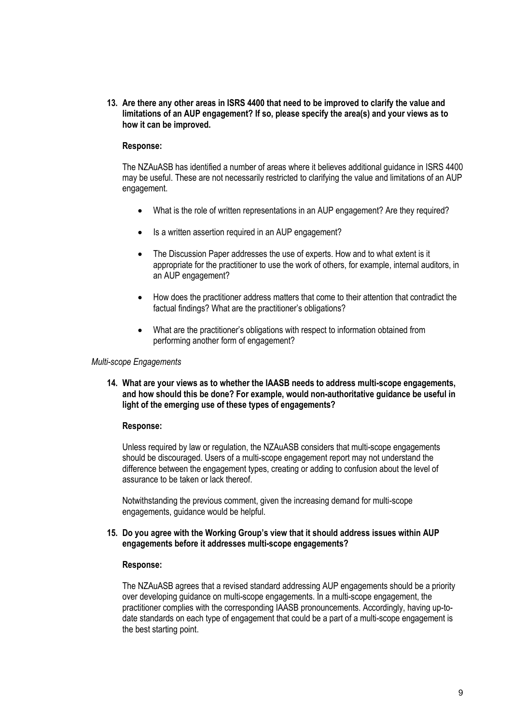**13. Are there any other areas in ISRS 4400 that need to be improved to clarify the value and limitations of an AUP engagement? If so, please specify the area(s) and your views as to how it can be improved.**

#### **Response:**

The NZAuASB has identified a number of areas where it believes additional guidance in ISRS 4400 may be useful. These are not necessarily restricted to clarifying the value and limitations of an AUP engagement.

- What is the role of written representations in an AUP engagement? Are they required?
- Is a written assertion required in an AUP engagement?
- The Discussion Paper addresses the use of experts. How and to what extent is it appropriate for the practitioner to use the work of others, for example, internal auditors, in an AUP engagement?
- How does the practitioner address matters that come to their attention that contradict the factual findings? What are the practitioner's obligations?
- What are the practitioner's obligations with respect to information obtained from performing another form of engagement?

#### *Multi-scope Engagements*

**14. What are your views as to whether the IAASB needs to address multi-scope engagements, and how should this be done? For example, would non-authoritative guidance be useful in light of the emerging use of these types of engagements?**

#### **Response:**

Unless required by law or regulation, the NZAuASB considers that multi-scope engagements should be discouraged. Users of a multi-scope engagement report may not understand the difference between the engagement types, creating or adding to confusion about the level of assurance to be taken or lack thereof.

Notwithstanding the previous comment, given the increasing demand for multi-scope engagements, guidance would be helpful.

#### **15. Do you agree with the Working Group's view that it should address issues within AUP engagements before it addresses multi-scope engagements?**

#### **Response:**

The NZAuASB agrees that a revised standard addressing AUP engagements should be a priority over developing guidance on multi-scope engagements. In a multi-scope engagement, the practitioner complies with the corresponding IAASB pronouncements. Accordingly, having up-todate standards on each type of engagement that could be a part of a multi-scope engagement is the best starting point.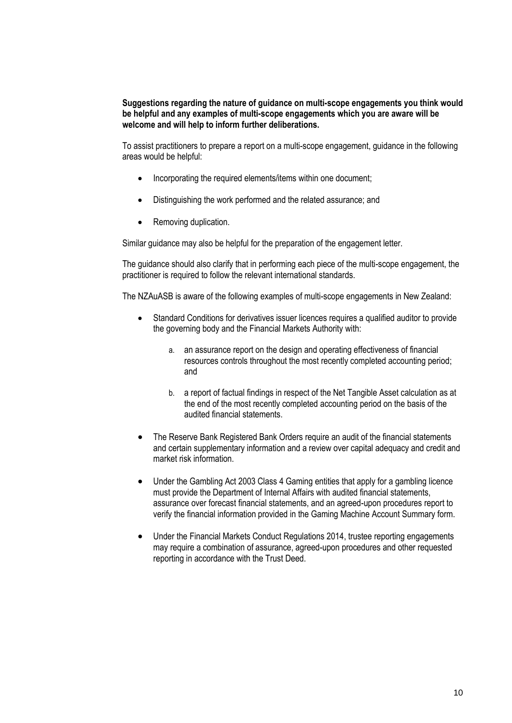## **Suggestions regarding the nature of guidance on multi-scope engagements you think would be helpful and any examples of multi-scope engagements which you are aware will be welcome and will help to inform further deliberations.**

To assist practitioners to prepare a report on a multi-scope engagement, guidance in the following areas would be helpful:

- Incorporating the required elements/items within one document;
- Distinguishing the work performed and the related assurance; and
- Removing duplication.

Similar guidance may also be helpful for the preparation of the engagement letter.

The guidance should also clarify that in performing each piece of the multi-scope engagement, the practitioner is required to follow the relevant international standards.

The NZAuASB is aware of the following examples of multi-scope engagements in New Zealand:

- Standard Conditions for derivatives issuer licences requires a qualified auditor to provide the governing body and the Financial Markets Authority with:
	- a. an assurance report on the design and operating effectiveness of financial resources controls throughout the most recently completed accounting period; and
	- b. a report of factual findings in respect of the Net Tangible Asset calculation as at the end of the most recently completed accounting period on the basis of the audited financial statements.
- The Reserve Bank Registered Bank Orders require an audit of the financial statements and certain supplementary information and a review over capital adequacy and credit and market risk information.
- Under the Gambling Act 2003 Class 4 Gaming entities that apply for a gambling licence must provide the Department of Internal Affairs with audited financial statements, assurance over forecast financial statements, and an agreed-upon procedures report to verify the financial information provided in the Gaming Machine Account Summary form.
- Under the Financial Markets Conduct Regulations 2014, trustee reporting engagements may require a combination of assurance, agreed-upon procedures and other requested reporting in accordance with the Trust Deed.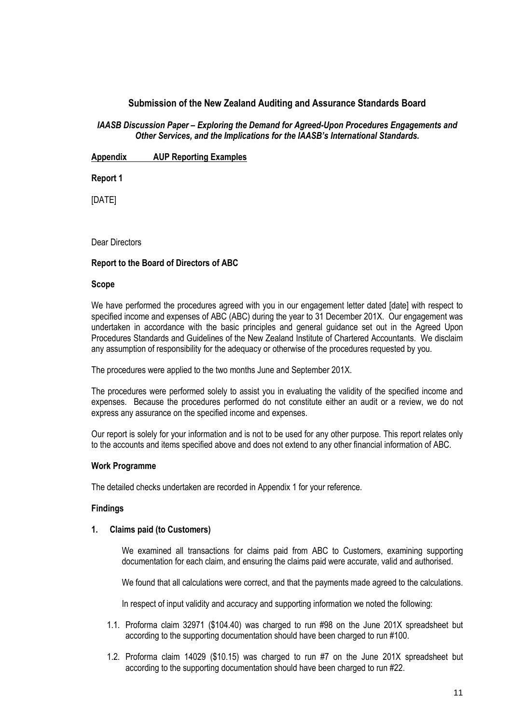# **Submission of the New Zealand Auditing and Assurance Standards Board**

## *IAASB Discussion Paper – Exploring the Demand for Agreed-Upon Procedures Engagements and Other Services, and the Implications for the IAASB's International Standards.*

**Appendix AUP Reporting Examples** 

**Report 1**

[DATE]

Dear Directors

## **Report to the Board of Directors of ABC**

## **Scope**

We have performed the procedures agreed with you in our engagement letter dated [date] with respect to specified income and expenses of ABC (ABC) during the year to 31 December 201X. Our engagement was undertaken in accordance with the basic principles and general guidance set out in the Agreed Upon Procedures Standards and Guidelines of the New Zealand Institute of Chartered Accountants. We disclaim any assumption of responsibility for the adequacy or otherwise of the procedures requested by you.

The procedures were applied to the two months June and September 201X.

The procedures were performed solely to assist you in evaluating the validity of the specified income and expenses. Because the procedures performed do not constitute either an audit or a review, we do not express any assurance on the specified income and expenses.

Our report is solely for your information and is not to be used for any other purpose. This report relates only to the accounts and items specified above and does not extend to any other financial information of ABC.

## **Work Programme**

The detailed checks undertaken are recorded in Appendix 1 for your reference.

## **Findings**

## **1. Claims paid (to Customers)**

We examined all transactions for claims paid from ABC to Customers, examining supporting documentation for each claim, and ensuring the claims paid were accurate, valid and authorised.

We found that all calculations were correct, and that the payments made agreed to the calculations.

In respect of input validity and accuracy and supporting information we noted the following:

- 1.1. Proforma claim 32971 (\$104.40) was charged to run #98 on the June 201X spreadsheet but according to the supporting documentation should have been charged to run #100.
- 1.2. Proforma claim 14029 (\$10.15) was charged to run #7 on the June 201X spreadsheet but according to the supporting documentation should have been charged to run #22.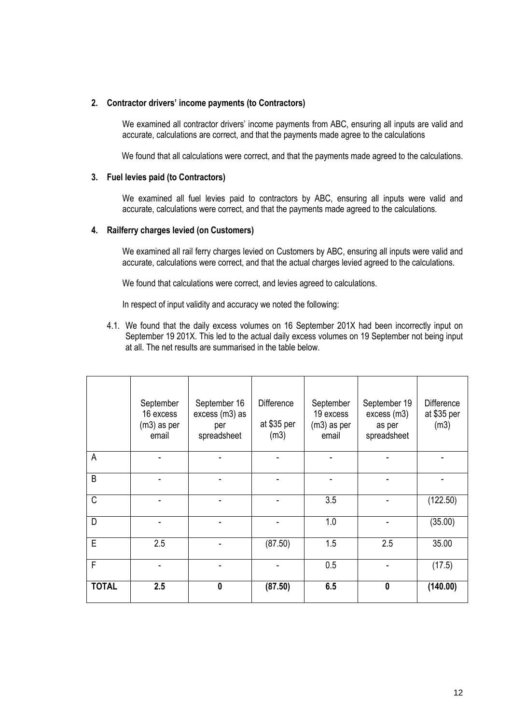## **2. Contractor drivers' income payments (to Contractors)**

We examined all contractor drivers' income payments from ABC, ensuring all inputs are valid and accurate, calculations are correct, and that the payments made agree to the calculations

We found that all calculations were correct, and that the payments made agreed to the calculations.

## **3. Fuel levies paid (to Contractors)**

We examined all fuel levies paid to contractors by ABC, ensuring all inputs were valid and accurate, calculations were correct, and that the payments made agreed to the calculations.

## **4. Railferry charges levied (on Customers)**

We examined all rail ferry charges levied on Customers by ABC, ensuring all inputs were valid and accurate, calculations were correct, and that the actual charges levied agreed to the calculations.

We found that calculations were correct, and levies agreed to calculations.

In respect of input validity and accuracy we noted the following:

4.1. We found that the daily excess volumes on 16 September 201X had been incorrectly input on September 19 201X. This led to the actual daily excess volumes on 19 September not being input at all. The net results are summarised in the table below.

|              | September<br>16 excess<br>$(m3)$ as per<br>email | September 16<br>excess (m3) as<br>per<br>spreadsheet | <b>Difference</b><br>at \$35 per<br>(m3) | September<br>19 excess<br>$(m3)$ as per<br>email | September 19<br>excess (m3)<br>as per<br>spreadsheet | <b>Difference</b><br>at \$35 per<br>(m3) |
|--------------|--------------------------------------------------|------------------------------------------------------|------------------------------------------|--------------------------------------------------|------------------------------------------------------|------------------------------------------|
| A            |                                                  |                                                      |                                          |                                                  |                                                      |                                          |
| B            |                                                  |                                                      |                                          |                                                  |                                                      |                                          |
| C            |                                                  |                                                      |                                          | 3.5                                              |                                                      | (122.50)                                 |
| D            |                                                  |                                                      |                                          | 1.0                                              |                                                      | (35.00)                                  |
| E            | 2.5                                              |                                                      | (87.50)                                  | 1.5                                              | 2.5                                                  | 35.00                                    |
| F            |                                                  |                                                      |                                          | 0.5                                              |                                                      | (17.5)                                   |
| <b>TOTAL</b> | 2.5                                              | $\mathbf{0}$                                         | (87.50)                                  | 6.5                                              | 0                                                    | (140.00)                                 |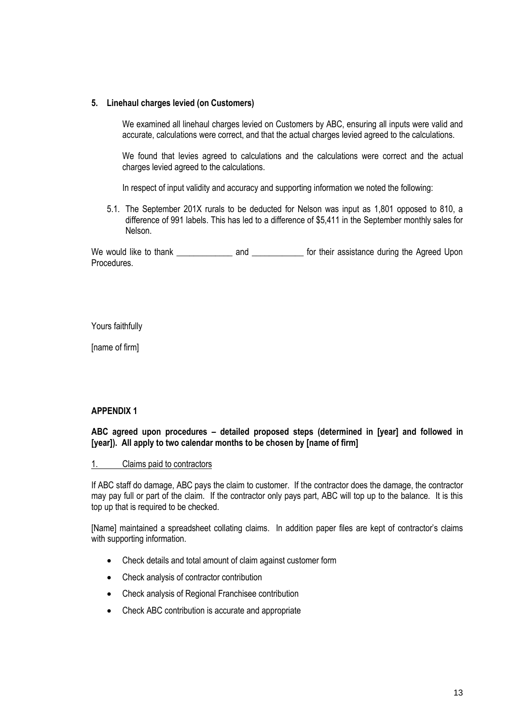## **5. Linehaul charges levied (on Customers)**

We examined all linehaul charges levied on Customers by ABC, ensuring all inputs were valid and accurate, calculations were correct, and that the actual charges levied agreed to the calculations.

We found that levies agreed to calculations and the calculations were correct and the actual charges levied agreed to the calculations.

In respect of input validity and accuracy and supporting information we noted the following:

5.1. The September 201X rurals to be deducted for Nelson was input as 1,801 opposed to 810, a difference of 991 labels. This has led to a difference of \$5,411 in the September monthly sales for Nelson.

We would like to thank \_\_\_\_\_\_\_\_\_\_\_\_\_\_\_\_\_ and \_\_\_\_\_\_\_\_\_\_\_\_\_\_ for their assistance during the Agreed Upon Procedures.

Yours faithfully

[name of firm]

# **APPENDIX 1**

**ABC agreed upon procedures – detailed proposed steps (determined in [year] and followed in [year]). All apply to two calendar months to be chosen by [name of firm]**

## 1. Claims paid to contractors

If ABC staff do damage, ABC pays the claim to customer. If the contractor does the damage, the contractor may pay full or part of the claim. If the contractor only pays part, ABC will top up to the balance. It is this top up that is required to be checked.

[Name] maintained a spreadsheet collating claims. In addition paper files are kept of contractor's claims with supporting information.

- Check details and total amount of claim against customer form
- Check analysis of contractor contribution
- Check analysis of Regional Franchisee contribution
- Check ABC contribution is accurate and appropriate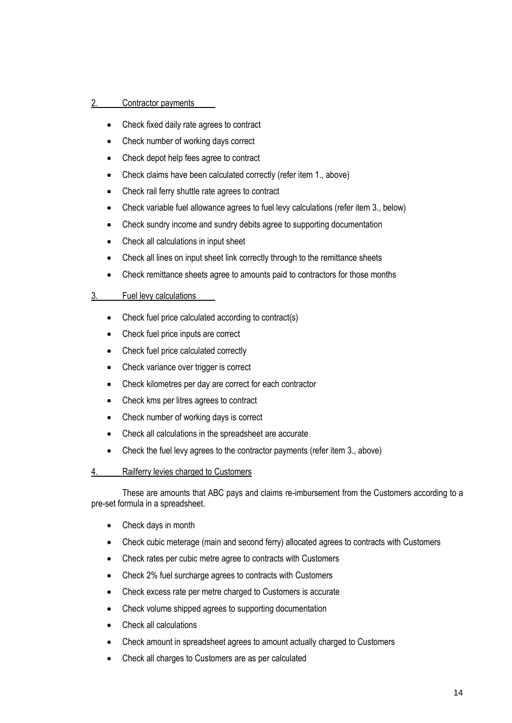# 2. Contractor payments

- Check fixed daily rate agrees to contract
- Check number of working days correct
- Check depot help fees agree to contract
- Check claims have been calculated correctly (refer item 1, above)
- Check rail ferry shuttle rate agrees to contract
- Check variable fuel allowance agrees to fuel levy calculations (refer item 3., below)
- Check sundry income and sundry debits agree to supporting documentation
- Check all calculations in input sheet
- Check all lines on input sheet link correctly through to the remittance sheets
- Check remittance sheets agree to amounts paid to contractors for those months

## 3. Fuel levy calculations

- Check fuel price calculated according to contract(s)
- Check fuel price inputs are correct
- Check fuel price calculated correctly
- Check variance over trigger is correct
- Check kilometres per day are correct for each contractor
- Check kms per litres agrees to contract
- Check number of working days is correct
- Check all calculations in the spreadsheet are accurate
- Check the fuel levy agrees to the contractor payments (refer item 3., above)

## 4. Railferry levies charged to Customers

These are amounts that ABC pays and claims re-imbursement from the Customers according to a pre-set formula in a spreadsheet.

- Check days in month
- Check cubic meterage (main and second ferry) allocated agrees to contracts with Customers
- Check rates per cubic metre agree to contracts with Customers
- Check 2% fuel surcharge agrees to contracts with Customers
- Check excess rate per metre charged to Customers is accurate
- Check volume shipped agrees to supporting documentation
- Check all calculations
- Check amount in spreadsheet agrees to amount actually charged to Customers
- Check all charges to Customers are as per calculated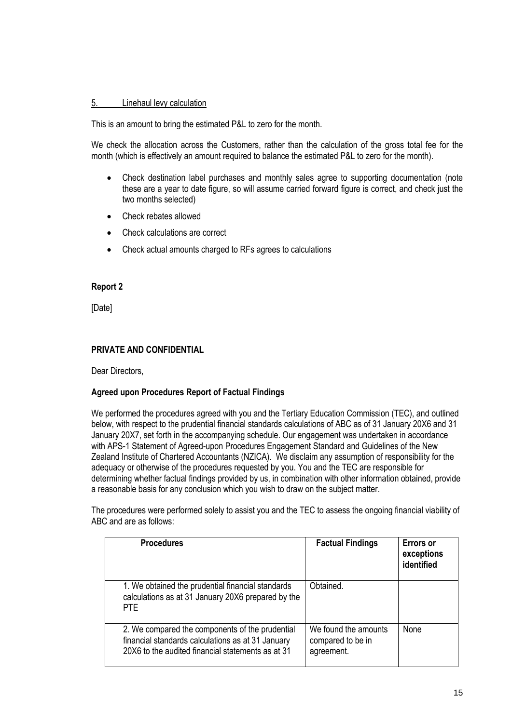# 5. Linehaul levy calculation

This is an amount to bring the estimated P&L to zero for the month.

We check the allocation across the Customers, rather than the calculation of the gross total fee for the month (which is effectively an amount required to balance the estimated P&L to zero for the month).

- Check destination label purchases and monthly sales agree to supporting documentation (note these are a year to date figure, so will assume carried forward figure is correct, and check just the two months selected)
- Check rebates allowed
- Check calculations are correct
- Check actual amounts charged to RFs agrees to calculations

## **Report 2**

[Date]

## **PRIVATE AND CONFIDENTIAL**

Dear Directors,

## **Agreed upon Procedures Report of Factual Findings**

We performed the procedures agreed with you and the Tertiary Education Commission (TEC), and outlined below, with respect to the prudential financial standards calculations of ABC as of 31 January 20X6 and 31 January 20X7, set forth in the accompanying schedule. Our engagement was undertaken in accordance with APS-1 Statement of Agreed-upon Procedures Engagement Standard and Guidelines of the New Zealand Institute of Chartered Accountants (NZICA). We disclaim any assumption of responsibility for the adequacy or otherwise of the procedures requested by you. You and the TEC are responsible for determining whether factual findings provided by us, in combination with other information obtained, provide a reasonable basis for any conclusion which you wish to draw on the subject matter.

The procedures were performed solely to assist you and the TEC to assess the ongoing financial viability of ABC and are as follows:

| <b>Procedures</b>                                                                                                                                         | <b>Factual Findings</b>                                 | <b>Errors or</b><br>exceptions<br>identified |
|-----------------------------------------------------------------------------------------------------------------------------------------------------------|---------------------------------------------------------|----------------------------------------------|
| 1. We obtained the prudential financial standards<br>calculations as at 31 January 20X6 prepared by the<br>PTE.                                           | Obtained.                                               |                                              |
| 2. We compared the components of the prudential<br>financial standards calculations as at 31 January<br>20X6 to the audited financial statements as at 31 | We found the amounts<br>compared to be in<br>agreement. | None                                         |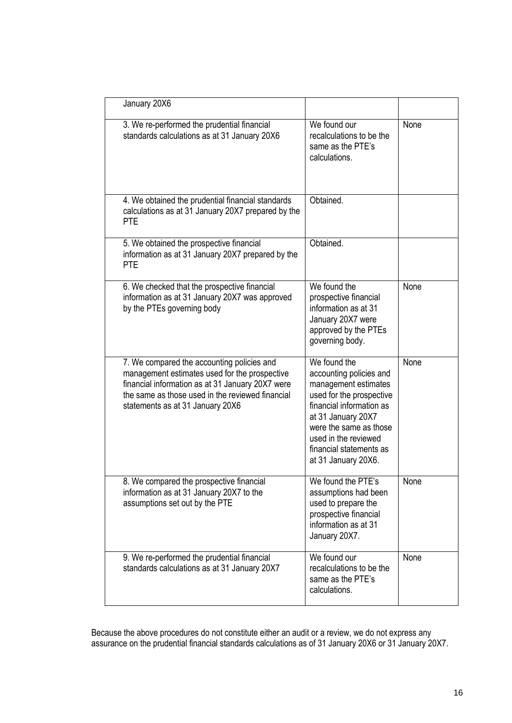| January 20X6                                                                                                                                                                                                                            |                                                                                                                                                                                                                                                   |      |
|-----------------------------------------------------------------------------------------------------------------------------------------------------------------------------------------------------------------------------------------|---------------------------------------------------------------------------------------------------------------------------------------------------------------------------------------------------------------------------------------------------|------|
| 3. We re-performed the prudential financial<br>standards calculations as at 31 January 20X6                                                                                                                                             | We found our<br>recalculations to be the<br>same as the PTE's<br>calculations.                                                                                                                                                                    | None |
| 4. We obtained the prudential financial standards<br>calculations as at 31 January 20X7 prepared by the<br><b>PTE</b>                                                                                                                   | Obtained.                                                                                                                                                                                                                                         |      |
| 5. We obtained the prospective financial<br>information as at 31 January 20X7 prepared by the<br><b>PTE</b>                                                                                                                             | Obtained.                                                                                                                                                                                                                                         |      |
| 6. We checked that the prospective financial<br>information as at 31 January 20X7 was approved<br>by the PTEs governing body                                                                                                            | We found the<br>prospective financial<br>information as at 31<br>January 20X7 were<br>approved by the PTEs<br>governing body.                                                                                                                     | None |
| 7. We compared the accounting policies and<br>management estimates used for the prospective<br>financial information as at 31 January 20X7 were<br>the same as those used in the reviewed financial<br>statements as at 31 January 20X6 | We found the<br>accounting policies and<br>management estimates<br>used for the prospective<br>financial information as<br>at 31 January 20X7<br>were the same as those<br>used in the reviewed<br>financial statements as<br>at 31 January 20X6. | None |
| 8. We compared the prospective financial<br>information as at 31 January 20X7 to the<br>assumptions set out by the PTE                                                                                                                  | We found the PTE's<br>assumptions had been<br>used to prepare the<br>prospective financial<br>information as at 31<br>January 20X7.                                                                                                               | None |
| 9. We re-performed the prudential financial<br>standards calculations as at 31 January 20X7                                                                                                                                             | We found our<br>recalculations to be the<br>same as the PTE's<br>calculations.                                                                                                                                                                    | None |

Because the above procedures do not constitute either an audit or a review, we do not express any assurance on the prudential financial standards calculations as of 31 January 20X6 or 31 January 20X7.